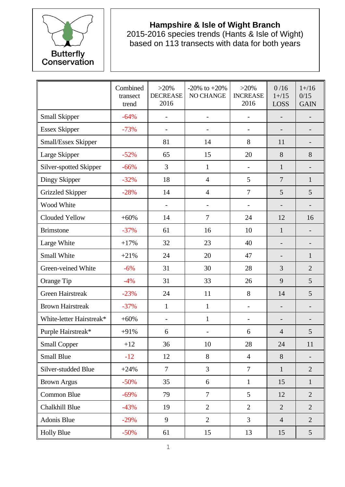

## **Hampshire & Isle of Wight Branch**

2015-2016 species trends (Hants & Isle of Wight) based on 113 transects with data for both years

|                          | Combined<br>transect<br>trend | $>20\%$<br><b>DECREASE</b><br>2016 | -20% to $+20%$<br>NO CHANGE | $>20\%$<br><b>INCREASE</b><br>2016 | 0/16<br>$1 + / 15$<br>LOSS | $1 + / 16$<br>0/15<br><b>GAIN</b> |
|--------------------------|-------------------------------|------------------------------------|-----------------------------|------------------------------------|----------------------------|-----------------------------------|
| Small Skipper            | $-64%$                        | $\overline{\phantom{0}}$           | $\overline{\phantom{a}}$    | $\overline{a}$                     |                            |                                   |
| <b>Essex Skipper</b>     | $-73%$                        | $\qquad \qquad -$                  | $\overline{\phantom{a}}$    | -                                  |                            | $\qquad \qquad \blacksquare$      |
| Small/Essex Skipper      |                               | 81                                 | 14                          | 8                                  | 11                         |                                   |
| Large Skipper            | $-52%$                        | 65                                 | 15                          | 20                                 | 8                          | 8                                 |
| Silver-spotted Skipper   | $-66%$                        | 3                                  | $\mathbf{1}$                | -                                  | 1                          |                                   |
| Dingy Skipper            | $-32%$                        | 18                                 | $\overline{4}$              | 5                                  | $\overline{7}$             | $\mathbf{1}$                      |
| <b>Grizzled Skipper</b>  | $-28%$                        | 14                                 | $\overline{4}$              | $\overline{7}$                     | 5                          | 5                                 |
| Wood White               |                               |                                    | $\overline{\phantom{a}}$    | $\overline{a}$                     |                            |                                   |
| Clouded Yellow           | $+60%$                        | 14                                 | $\overline{7}$              | 24                                 | 12                         | 16                                |
| <b>Brimstone</b>         | $-37%$                        | 61                                 | 16                          | 10                                 | $\mathbf{1}$               |                                   |
| Large White              | $+17%$                        | 32                                 | 23                          | 40                                 |                            | $\qquad \qquad -$                 |
| Small White              | $+21%$                        | 24                                 | 20                          | 47                                 |                            | $\mathbf{1}$                      |
| Green-veined White       | $-6%$                         | 31                                 | 30                          | 28                                 | 3                          | $\overline{2}$                    |
| Orange Tip               | $-4%$                         | 31                                 | 33                          | 26                                 | 9                          | 5                                 |
| <b>Green Hairstreak</b>  | $-23%$                        | 24                                 | 11                          | 8                                  | 14                         | 5                                 |
| <b>Brown Hairstreak</b>  | $-37%$                        | $\mathbf{1}$                       | $\mathbf{1}$                | -                                  |                            |                                   |
| White-letter Hairstreak* | $+60%$                        |                                    | $\mathbf{1}$                |                                    |                            |                                   |
| Purple Hairstreak*       | $+91%$                        | 6                                  | $\overline{\phantom{a}}$    | 6                                  | $\overline{4}$             | 5                                 |
| <b>Small Copper</b>      | $+12$                         | 36                                 | 10                          | 28                                 | 24                         | 11                                |
| <b>Small Blue</b>        | $-12$                         | 12                                 | 8                           | $\overline{4}$                     | 8                          |                                   |
| Silver-studded Blue      | $+24%$                        | $\overline{7}$                     | 3                           | $\overline{7}$                     | $\mathbf{1}$               | $\overline{2}$                    |
| <b>Brown Argus</b>       | $-50%$                        | 35                                 | 6                           | $\mathbf{1}$                       | 15                         | $\mathbf{1}$                      |
| Common Blue              | $-69%$                        | 79                                 | $\overline{7}$              | 5                                  | 12                         | $\overline{2}$                    |
| <b>Chalkhill Blue</b>    | $-43%$                        | 19                                 | $\overline{2}$              | $\overline{2}$                     | $\overline{2}$             | $\overline{2}$                    |
| Adonis Blue              | $-29%$                        | 9                                  | $\overline{2}$              | $\overline{3}$                     | $\overline{4}$             | $\overline{2}$                    |
| <b>Holly Blue</b>        | $-50%$                        | 61                                 | 15                          | 13                                 | 15                         | 5                                 |